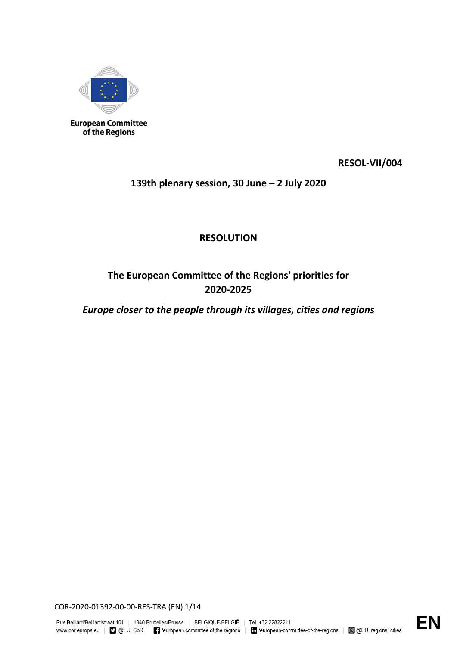

**European Committee** of the Regions

**RESOL-VII/004**

**139th plenary session, 30 June – 2 July 2020**

**RESOLUTION**

**The European Committee of the Regions' priorities for 2020-2025**

*Europe closer to the people through its villages, cities and regions*

COR-2020-01392-00-00-RES-TRA (EN) 1/14

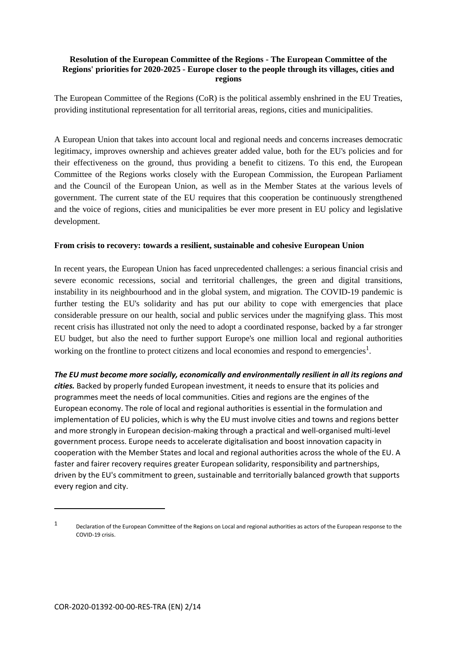### **Resolution of the European Committee of the Regions - The European Committee of the Regions' priorities for 2020-2025 - Europe closer to the people through its villages, cities and regions**

The European Committee of the Regions (CoR) is the political assembly enshrined in the EU Treaties, providing institutional representation for all territorial areas, regions, cities and municipalities.

A European Union that takes into account local and regional needs and concerns increases democratic legitimacy, improves ownership and achieves greater added value, both for the EU's policies and for their effectiveness on the ground, thus providing a benefit to citizens. To this end, the European Committee of the Regions works closely with the European Commission, the European Parliament and the Council of the European Union, as well as in the Member States at the various levels of government. The current state of the EU requires that this cooperation be continuously strengthened and the voice of regions, cities and municipalities be ever more present in EU policy and legislative development.

### **From crisis to recovery: towards a resilient, sustainable and cohesive European Union**

In recent years, the European Union has faced unprecedented challenges: a serious financial crisis and severe economic recessions, social and territorial challenges, the green and digital transitions, instability in its neighbourhood and in the global system, and migration. The COVID-19 pandemic is further testing the EU's solidarity and has put our ability to cope with emergencies that place considerable pressure on our health, social and public services under the magnifying glass. This most recent crisis has illustrated not only the need to adopt a coordinated response, backed by a far stronger EU budget, but also the need to further support Europe's one million local and regional authorities working on the frontline to protect citizens and local economies and respond to emergencies<sup>1</sup>.

*The EU must become more socially, economically and environmentally resilient in all its regions and cities.* Backed by properly funded European investment, it needs to ensure that its policies and programmes meet the needs of local communities. Cities and regions are the engines of the European economy. The role of local and regional authorities is essential in the formulation and implementation of EU policies, which is why the EU must involve cities and towns and regions better and more strongly in European decision-making through a practical and well-organised multi-level government process. Europe needs to accelerate digitalisation and boost innovation capacity in cooperation with the Member States and local and regional authorities across the whole of the EU. A faster and fairer recovery requires greater European solidarity, responsibility and partnerships, driven by the EU's commitment to green, sustainable and territorially balanced growth that supports every region and city.

1

<sup>1</sup> Declaration of the European Committee of the Regions on Local and regional authorities as actors of the European response to the COVID-19 crisis.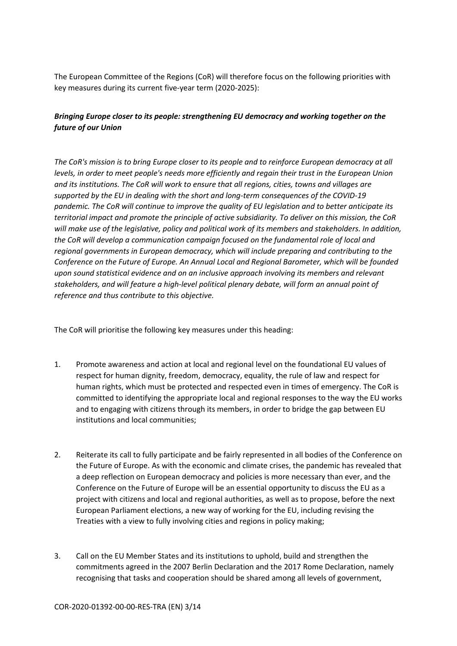The European Committee of the Regions (CoR) will therefore focus on the following priorities with key measures during its current five-year term (2020-2025):

### *Bringing Europe closer to its people: strengthening EU democracy and working together on the future of our Union*

*The CoR's mission is to bring Europe closer to its people and to reinforce European democracy at all levels, in order to meet people's needs more efficiently and regain their trust in the European Union and its institutions. The CoR will work to ensure that all regions, cities, towns and villages are supported by the EU in dealing with the short and long-term consequences of the COVID-19 pandemic. The CoR will continue to improve the quality of EU legislation and to better anticipate its territorial impact and promote the principle of active subsidiarity. To deliver on this mission, the CoR will make use of the legislative, policy and political work of its members and stakeholders. In addition, the CoR will develop a communication campaign focused on the fundamental role of local and regional governments in European democracy, which will include preparing and contributing to the Conference on the Future of Europe. An Annual Local and Regional Barometer, which will be founded upon sound statistical evidence and on an inclusive approach involving its members and relevant stakeholders, and will feature a high-level political plenary debate, will form an annual point of reference and thus contribute to this objective.* 

The CoR will prioritise the following key measures under this heading:

- 1. Promote awareness and action at local and regional level on the foundational EU values of respect for human dignity, freedom, democracy, equality, the rule of law and respect for human rights, which must be protected and respected even in times of emergency. The CoR is committed to identifying the appropriate local and regional responses to the way the EU works and to engaging with citizens through its members, in order to bridge the gap between EU institutions and local communities;
- 2. Reiterate its call to fully participate and be fairly represented in all bodies of the Conference on the Future of Europe. As with the economic and climate crises, the pandemic has revealed that a deep reflection on European democracy and policies is more necessary than ever, and the Conference on the Future of Europe will be an essential opportunity to discuss the EU as a project with citizens and local and regional authorities, as well as to propose, before the next European Parliament elections, a new way of working for the EU, including revising the Treaties with a view to fully involving cities and regions in policy making;
- 3. Call on the EU Member States and its institutions to uphold, build and strengthen the commitments agreed in the 2007 Berlin Declaration and the 2017 Rome Declaration, namely recognising that tasks and cooperation should be shared among all levels of government,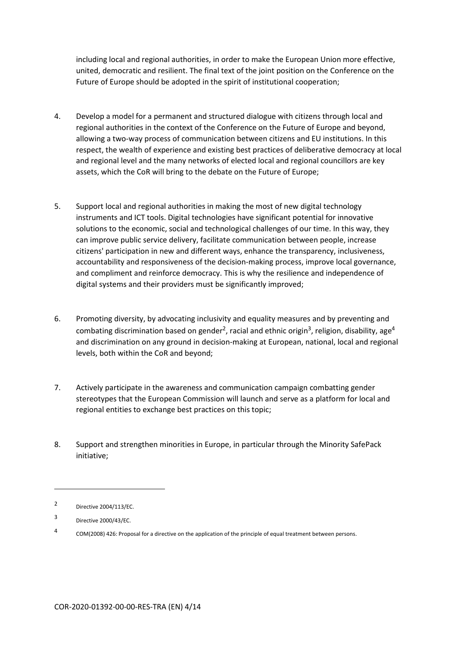including local and regional authorities, in order to make the European Union more effective, united, democratic and resilient. The final text of the joint position on the Conference on the Future of Europe should be adopted in the spirit of institutional cooperation;

- 4. Develop a model for a permanent and structured dialogue with citizens through local and regional authorities in the context of the Conference on the Future of Europe and beyond, allowing a two-way process of communication between citizens and EU institutions. In this respect, the wealth of experience and existing best practices of deliberative democracy at local and regional level and the many networks of elected local and regional councillors are key assets, which the CoR will bring to the debate on the Future of Europe;
- 5. Support local and regional authorities in making the most of new digital technology instruments and ICT tools. Digital technologies have significant potential for innovative solutions to the economic, social and technological challenges of our time. In this way, they can improve public service delivery, facilitate communication between people, increase citizens' participation in new and different ways, enhance the transparency, inclusiveness, accountability and responsiveness of the decision-making process, improve local governance, and compliment and reinforce democracy. This is why the resilience and independence of digital systems and their providers must be significantly improved;
- 6. Promoting diversity, by advocating inclusivity and equality measures and by preventing and combating discrimination based on gender<sup>2</sup>, racial and ethnic origin<sup>3</sup>, religion, disability, age<sup>4</sup> and discrimination on any ground in decision-making at European, national, local and regional levels, both within the CoR and beyond;
- 7. Actively participate in the awareness and communication campaign combatting gender stereotypes that the European Commission will launch and serve as a platform for local and regional entities to exchange best practices on this topic;
- 8. Support and strengthen minorities in Europe, in particular through the Minority SafePack initiative;

**.** 

 $\mathfrak{p}$ Directive 2004/113/EC.

<sup>3</sup> Directive 2000/43/EC.

<sup>4</sup> COM(2008) 426: Proposal for a directive on the application of the principle of equal treatment between persons.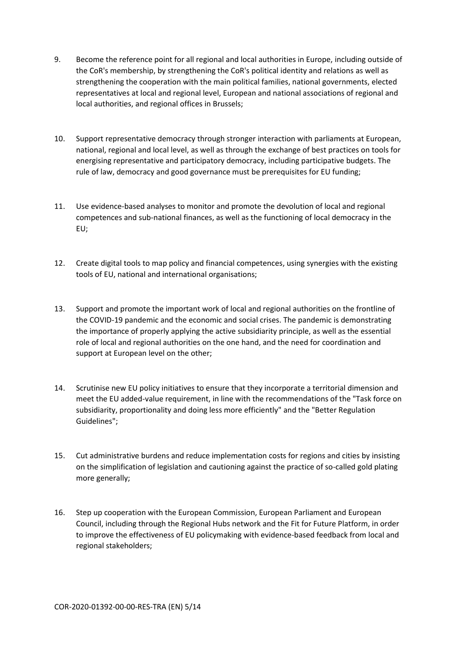- 9. Become the reference point for all regional and local authorities in Europe, including outside of the CoR's membership, by strengthening the CoR's political identity and relations as well as strengthening the cooperation with the main political families, national governments, elected representatives at local and regional level, European and national associations of regional and local authorities, and regional offices in Brussels;
- 10. Support representative democracy through stronger interaction with parliaments at European, national, regional and local level, as well as through the exchange of best practices on tools for energising representative and participatory democracy, including participative budgets. The rule of law, democracy and good governance must be prerequisites for EU funding;
- 11. Use evidence-based analyses to monitor and promote the devolution of local and regional competences and sub-national finances, as well as the functioning of local democracy in the EU;
- 12. Create digital tools to map policy and financial competences, using synergies with the existing tools of EU, national and international organisations;
- 13. Support and promote the important work of local and regional authorities on the frontline of the COVID-19 pandemic and the economic and social crises. The pandemic is demonstrating the importance of properly applying the active subsidiarity principle, as well as the essential role of local and regional authorities on the one hand, and the need for coordination and support at European level on the other;
- 14. Scrutinise new EU policy initiatives to ensure that they incorporate a territorial dimension and meet the EU added-value requirement, in line with the recommendations of the "Task force on subsidiarity, proportionality and doing less more efficiently" and the "Better Regulation Guidelines";
- 15. Cut administrative burdens and reduce implementation costs for regions and cities by insisting on the simplification of legislation and cautioning against the practice of so-called gold plating more generally;
- 16. Step up cooperation with the European Commission, European Parliament and European Council, including through the Regional Hubs network and the Fit for Future Platform, in order to improve the effectiveness of EU policymaking with evidence-based feedback from local and regional stakeholders;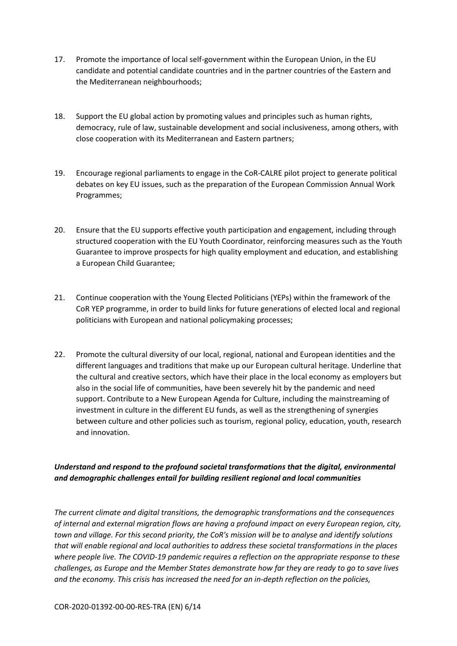- 17. Promote the importance of local self-government within the European Union, in the EU candidate and potential candidate countries and in the partner countries of the Eastern and the Mediterranean neighbourhoods;
- 18. Support the EU global action by promoting values and principles such as human rights, democracy, rule of law, sustainable development and social inclusiveness, among others, with close cooperation with its Mediterranean and Eastern partners;
- 19. Encourage regional parliaments to engage in the CoR-CALRE pilot project to generate political debates on key EU issues, such as the preparation of the European Commission Annual Work Programmes;
- 20. Ensure that the EU supports effective youth participation and engagement, including through structured cooperation with the EU Youth Coordinator, reinforcing measures such as the Youth Guarantee to improve prospects for high quality employment and education, and establishing a European Child Guarantee;
- 21. Continue cooperation with the Young Elected Politicians (YEPs) within the framework of the CoR YEP programme, in order to build links for future generations of elected local and regional politicians with European and national policymaking processes;
- 22. Promote the cultural diversity of our local, regional, national and European identities and the different languages and traditions that make up our European cultural heritage. Underline that the cultural and creative sectors, which have their place in the local economy as employers but also in the social life of communities, have been severely hit by the pandemic and need support. Contribute to a New European Agenda for Culture, including the mainstreaming of investment in culture in the different EU funds, as well as the strengthening of synergies between culture and other policies such as tourism, regional policy, education, youth, research and innovation.

# *Understand and respond to the profound societal transformations that the digital, environmental and demographic challenges entail for building resilient regional and local communities*

*The current climate and digital transitions, the demographic transformations and the consequences of internal and external migration flows are having a profound impact on every European region, city, town and village. For this second priority, the CoR's mission will be to analyse and identify solutions that will enable regional and local authorities to address these societal transformations in the places where people live. The COVID-19 pandemic requires a reflection on the appropriate response to these challenges, as Europe and the Member States demonstrate how far they are ready to go to save lives and the economy. This crisis has increased the need for an in-depth reflection on the policies,*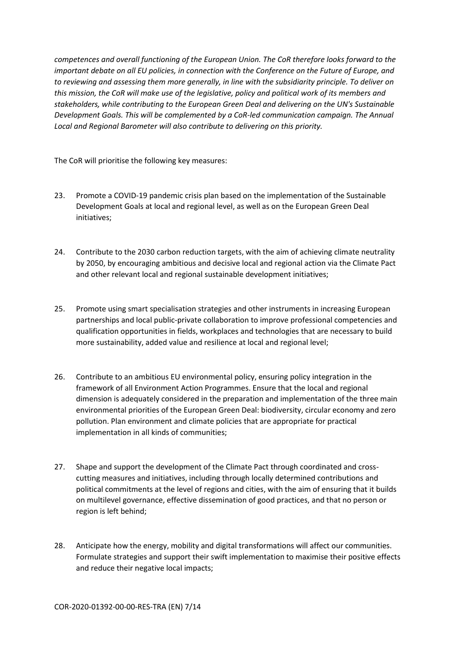*competences and overall functioning of the European Union. The CoR therefore looks forward to the important debate on all EU policies, in connection with the Conference on the Future of Europe, and to reviewing and assessing them more generally, in line with the subsidiarity principle. To deliver on this mission, the CoR will make use of the legislative, policy and political work of its members and stakeholders, while contributing to the European Green Deal and delivering on the UN's Sustainable Development Goals. This will be complemented by a CoR-led communication campaign. The Annual Local and Regional Barometer will also contribute to delivering on this priority.*

The CoR will prioritise the following key measures:

- 23. Promote a COVID-19 pandemic crisis plan based on the implementation of the Sustainable Development Goals at local and regional level, as well as on the European Green Deal initiatives;
- 24. Contribute to the 2030 carbon reduction targets, with the aim of achieving climate neutrality by 2050, by encouraging ambitious and decisive local and regional action via the Climate Pact and other relevant local and regional sustainable development initiatives;
- 25. Promote using smart specialisation strategies and other instruments in increasing European partnerships and local public-private collaboration to improve professional competencies and qualification opportunities in fields, workplaces and technologies that are necessary to build more sustainability, added value and resilience at local and regional level;
- 26. Contribute to an ambitious EU environmental policy, ensuring policy integration in the framework of all Environment Action Programmes. Ensure that the local and regional dimension is adequately considered in the preparation and implementation of the three main environmental priorities of the European Green Deal: biodiversity, circular economy and zero pollution. Plan environment and climate policies that are appropriate for practical implementation in all kinds of communities;
- 27. Shape and support the development of the Climate Pact through coordinated and crosscutting measures and initiatives, including through locally determined contributions and political commitments at the level of regions and cities, with the aim of ensuring that it builds on multilevel governance, effective dissemination of good practices, and that no person or region is left behind;
- 28. Anticipate how the energy, mobility and digital transformations will affect our communities. Formulate strategies and support their swift implementation to maximise their positive effects and reduce their negative local impacts;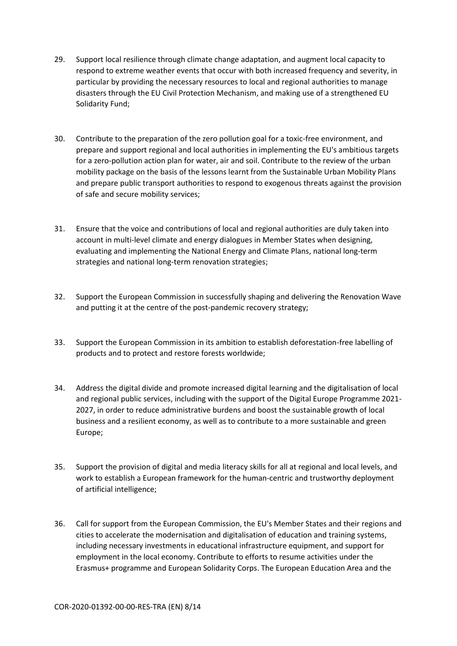- 29. Support local resilience through climate change adaptation, and augment local capacity to respond to extreme weather events that occur with both increased frequency and severity, in particular by providing the necessary resources to local and regional authorities to manage disasters through the EU Civil Protection Mechanism, and making use of a strengthened EU Solidarity Fund;
- 30. Contribute to the preparation of the zero pollution goal for a toxic-free environment, and prepare and support regional and local authorities in implementing the EU's ambitious targets for a zero-pollution action plan for water, air and soil. Contribute to the review of the urban mobility package on the basis of the lessons learnt from the Sustainable Urban Mobility Plans and prepare public transport authorities to respond to exogenous threats against the provision of safe and secure mobility services;
- 31. Ensure that the voice and contributions of local and regional authorities are duly taken into account in multi-level climate and energy dialogues in Member States when designing, evaluating and implementing the National Energy and Climate Plans, national long-term strategies and national long-term renovation strategies;
- 32. Support the European Commission in successfully shaping and delivering the Renovation Wave and putting it at the centre of the post-pandemic recovery strategy;
- 33. Support the European Commission in its ambition to establish deforestation-free labelling of products and to protect and restore forests worldwide;
- 34. Address the digital divide and promote increased digital learning and the digitalisation of local and regional public services, including with the support of the Digital Europe Programme 2021- 2027, in order to reduce administrative burdens and boost the sustainable growth of local business and a resilient economy, as well as to contribute to a more sustainable and green Europe;
- 35. Support the provision of digital and media literacy skills for all at regional and local levels, and work to establish a European framework for the human-centric and trustworthy deployment of artificial intelligence;
- 36. Call for support from the European Commission, the EU's Member States and their regions and cities to accelerate the modernisation and digitalisation of education and training systems, including necessary investments in educational infrastructure equipment, and support for employment in the local economy. Contribute to efforts to resume activities under the Erasmus+ programme and European Solidarity Corps. The European Education Area and the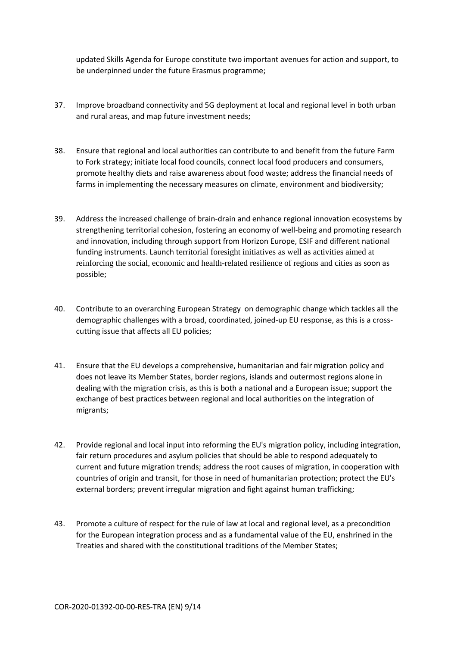updated Skills Agenda for Europe constitute two important avenues for action and support, to be underpinned under the future Erasmus programme;

- 37. Improve broadband connectivity and 5G deployment at local and regional level in both urban and rural areas, and map future investment needs;
- 38. Ensure that regional and local authorities can contribute to and benefit from the future Farm to Fork strategy; initiate local food councils, connect local food producers and consumers, promote healthy diets and raise awareness about food waste; address the financial needs of farms in implementing the necessary measures on climate, environment and biodiversity;
- 39. Address the increased challenge of brain-drain and enhance regional innovation ecosystems by strengthening territorial cohesion, fostering an economy of well-being and promoting research and innovation, including through support from Horizon Europe, ESIF and different national funding instruments. Launch territorial foresight initiatives as well as activities aimed at reinforcing the social, economic and health-related resilience of regions and cities as soon as possible;
- 40. Contribute to an overarching European Strategy on demographic change which tackles all the demographic challenges with a broad, coordinated, joined-up EU response, as this is a crosscutting issue that affects all EU policies;
- 41. Ensure that the EU develops a comprehensive, humanitarian and fair migration policy and does not leave its Member States, border regions, islands and outermost regions alone in dealing with the migration crisis, as this is both a national and a European issue; support the exchange of best practices between regional and local authorities on the integration of migrants;
- 42. Provide regional and local input into reforming the EU's migration policy, including integration, fair return procedures and asylum policies that should be able to respond adequately to current and future migration trends; address the root causes of migration, in cooperation with countries of origin and transit, for those in need of humanitarian protection; protect the EU's external borders; prevent irregular migration and fight against human trafficking;
- 43. Promote a culture of respect for the rule of law at local and regional level, as a precondition for the European integration process and as a fundamental value of the EU, enshrined in the Treaties and shared with the constitutional traditions of the Member States;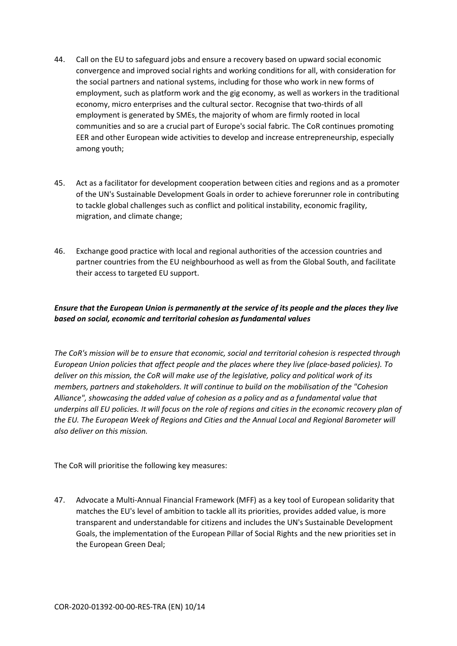- 44. Call on the EU to safeguard jobs and ensure a recovery based on upward social economic convergence and improved social rights and working conditions for all, with consideration for the social partners and national systems, including for those who work in new forms of employment, such as platform work and the gig economy, as well as workers in the traditional economy, micro enterprises and the cultural sector. Recognise that two-thirds of all employment is generated by SMEs, the majority of whom are firmly rooted in local communities and so are a crucial part of Europe's social fabric. The CoR continues promoting EER and other European wide activities to develop and increase entrepreneurship, especially among youth;
- 45. Act as a facilitator for development cooperation between cities and regions and as a promoter of the UN's Sustainable Development Goals in order to achieve forerunner role in contributing to tackle global challenges such as conflict and political instability, economic fragility, migration, and climate change;
- 46. Exchange good practice with local and regional authorities of the accession countries and partner countries from the EU neighbourhood as well as from the Global South, and facilitate their access to targeted EU support.

## *Ensure that the European Union is permanently at the service of its people and the places they live based on social, economic and territorial cohesion as fundamental values*

*The CoR's mission will be to ensure that economic, social and territorial cohesion is respected through European Union policies that affect people and the places where they live (place-based policies). To deliver on this mission, the CoR will make use of the legislative, policy and political work of its members, partners and stakeholders. It will continue to build on the mobilisation of the "Cohesion Alliance", showcasing the added value of cohesion as a policy and as a fundamental value that underpins all EU policies. It will focus on the role of regions and cities in the economic recovery plan of the EU. The European Week of Regions and Cities and the Annual Local and Regional Barometer will also deliver on this mission.*

The CoR will prioritise the following key measures:

47. Advocate a Multi-Annual Financial Framework (MFF) as a key tool of European solidarity that matches the EU's level of ambition to tackle all its priorities, provides added value, is more transparent and understandable for citizens and includes the UN's Sustainable Development Goals, the implementation of the European Pillar of Social Rights and the new priorities set in the European Green Deal;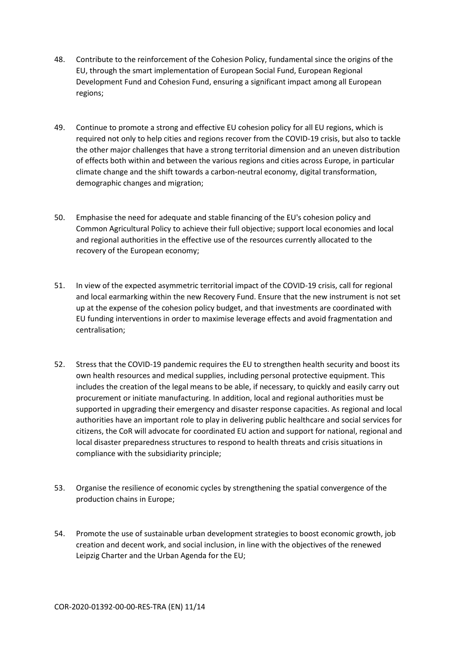- 48. Contribute to the reinforcement of the Cohesion Policy, fundamental since the origins of the EU, through the smart implementation of European Social Fund, European Regional Development Fund and Cohesion Fund, ensuring a significant impact among all European regions;
- 49. Continue to promote a strong and effective EU cohesion policy for all EU regions, which is required not only to help cities and regions recover from the COVID-19 crisis, but also to tackle the other major challenges that have a strong territorial dimension and an uneven distribution of effects both within and between the various regions and cities across Europe, in particular climate change and the shift towards a carbon-neutral economy, digital transformation, demographic changes and migration;
- 50. Emphasise the need for adequate and stable financing of the EU's cohesion policy and Common Agricultural Policy to achieve their full objective; support local economies and local and regional authorities in the effective use of the resources currently allocated to the recovery of the European economy;
- 51. In view of the expected asymmetric territorial impact of the COVID-19 crisis, call for regional and local earmarking within the new Recovery Fund. Ensure that the new instrument is not set up at the expense of the cohesion policy budget, and that investments are coordinated with EU funding interventions in order to maximise leverage effects and avoid fragmentation and centralisation;
- 52. Stress that the COVID-19 pandemic requires the EU to strengthen health security and boost its own health resources and medical supplies, including personal protective equipment. This includes the creation of the legal means to be able, if necessary, to quickly and easily carry out procurement or initiate manufacturing. In addition, local and regional authorities must be supported in upgrading their emergency and disaster response capacities. As regional and local authorities have an important role to play in delivering public healthcare and social services for citizens, the CoR will advocate for coordinated EU action and support for national, regional and local disaster preparedness structures to respond to health threats and crisis situations in compliance with the subsidiarity principle;
- 53. Organise the resilience of economic cycles by strengthening the spatial convergence of the production chains in Europe;
- 54. Promote the use of sustainable urban development strategies to boost economic growth, job creation and decent work, and social inclusion, in line with the objectives of the renewed Leipzig Charter and the Urban Agenda for the EU;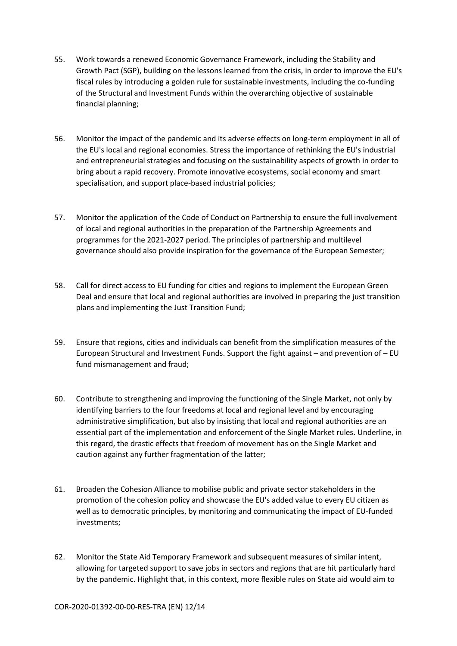- 55. Work towards a renewed Economic Governance Framework, including the Stability and Growth Pact (SGP), building on the lessons learned from the crisis, in order to improve the EU's fiscal rules by introducing a golden rule for sustainable investments, including the co-funding of the Structural and Investment Funds within the overarching objective of sustainable financial planning;
- 56. Monitor the impact of the pandemic and its adverse effects on long-term employment in all of the EU's local and regional economies. Stress the importance of rethinking the EU's industrial and entrepreneurial strategies and focusing on the sustainability aspects of growth in order to bring about a rapid recovery. Promote innovative ecosystems, social economy and smart specialisation, and support place-based industrial policies;
- 57. Monitor the application of the Code of Conduct on Partnership to ensure the full involvement of local and regional authorities in the preparation of the Partnership Agreements and programmes for the 2021-2027 period. The principles of partnership and multilevel governance should also provide inspiration for the governance of the European Semester;
- 58. Call for direct access to EU funding for cities and regions to implement the European Green Deal and ensure that local and regional authorities are involved in preparing the just transition plans and implementing the Just Transition Fund;
- 59. Ensure that regions, cities and individuals can benefit from the simplification measures of the European Structural and Investment Funds. Support the fight against – and prevention of – EU fund mismanagement and fraud;
- 60. Contribute to strengthening and improving the functioning of the Single Market, not only by identifying barriers to the four freedoms at local and regional level and by encouraging administrative simplification, but also by insisting that local and regional authorities are an essential part of the implementation and enforcement of the Single Market rules. Underline, in this regard, the drastic effects that freedom of movement has on the Single Market and caution against any further fragmentation of the latter;
- 61. Broaden the Cohesion Alliance to mobilise public and private sector stakeholders in the promotion of the cohesion policy and showcase the EU's added value to every EU citizen as well as to democratic principles, by monitoring and communicating the impact of EU-funded investments;
- 62. Monitor the State Aid Temporary Framework and subsequent measures of similar intent, allowing for targeted support to save jobs in sectors and regions that are hit particularly hard by the pandemic. Highlight that, in this context, more flexible rules on State aid would aim to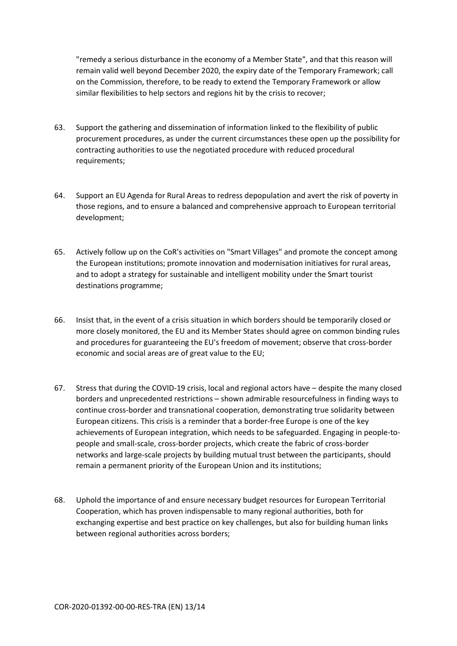"remedy a serious disturbance in the economy of a Member State", and that this reason will remain valid well beyond December 2020, the expiry date of the Temporary Framework; call on the Commission, therefore, to be ready to extend the Temporary Framework or allow similar flexibilities to help sectors and regions hit by the crisis to recover;

- 63. Support the gathering and dissemination of information linked to the flexibility of public procurement procedures, as under the current circumstances these open up the possibility for contracting authorities to use the negotiated procedure with reduced procedural requirements;
- 64. Support an EU Agenda for Rural Areas to redress depopulation and avert the risk of poverty in those regions, and to ensure a balanced and comprehensive approach to European territorial development;
- 65. Actively follow up on the CoR's activities on "Smart Villages" and promote the concept among the European institutions; promote innovation and modernisation initiatives for rural areas, and to adopt a strategy for sustainable and intelligent mobility under the Smart tourist destinations programme;
- 66. Insist that, in the event of a crisis situation in which borders should be temporarily closed or more closely monitored, the EU and its Member States should agree on common binding rules and procedures for guaranteeing the EU's freedom of movement; observe that cross-border economic and social areas are of great value to the EU;
- 67. Stress that during the COVID-19 crisis, local and regional actors have despite the many closed borders and unprecedented restrictions – shown admirable resourcefulness in finding ways to continue cross-border and transnational cooperation, demonstrating true solidarity between European citizens. This crisis is a reminder that a border-free Europe is one of the key achievements of European integration, which needs to be safeguarded. Engaging in people-topeople and small-scale, cross-border projects, which create the fabric of cross-border networks and large-scale projects by building mutual trust between the participants, should remain a permanent priority of the European Union and its institutions;
- 68. Uphold the importance of and ensure necessary budget resources for European Territorial Cooperation, which has proven indispensable to many regional authorities, both for exchanging expertise and best practice on key challenges, but also for building human links between regional authorities across borders;